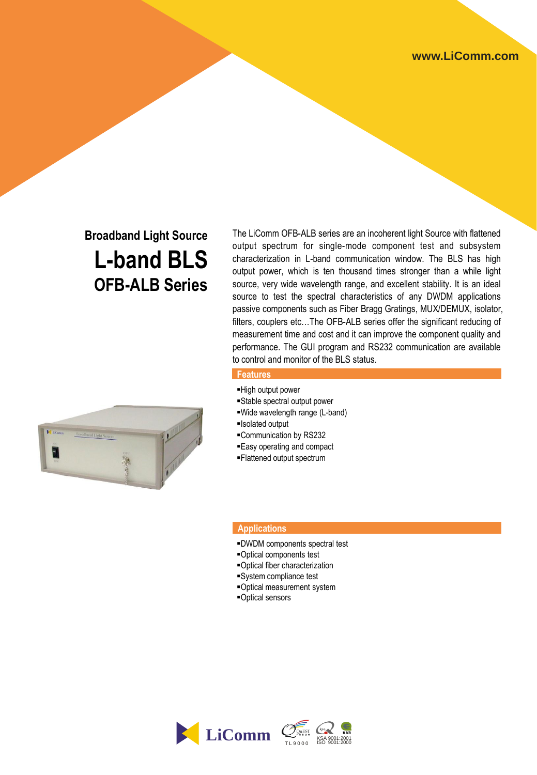# **Broadband Light Source L-band BLS OFB-ALB Series**

The LiComm OFB-ALB series are an incoherent light Source with flattened output spectrum for single-mode component test and subsystem characterization in L-band communication window. The BLS has high output power, which is ten thousand times stronger than a while light source, very wide wavelength range, and excellent stability. It is an ideal source to test the spectral characteristics of any DWDM applications passive components such as Fiber Bragg Gratings, MUX/DEMUX, isolator, filters, couplers etc…The OFB-ALB series offer the significant reducing of measurement time and cost and it can improve the component quality and performance. The GUI program and RS232 communication are available to control and monitor of the BLS status.

### **Features**

- High output power
- Stable spectral output power
- Wide wavelength range (L-band)
- Isolated output
- Communication by RS232
- Easy operating and compact
- Flattened output spectrum

#### **Applications**

- DWDM components spectral test
- Optical components test
- Optical fiber characterization
- System compliance test
- Optical measurement system
- Optical sensors